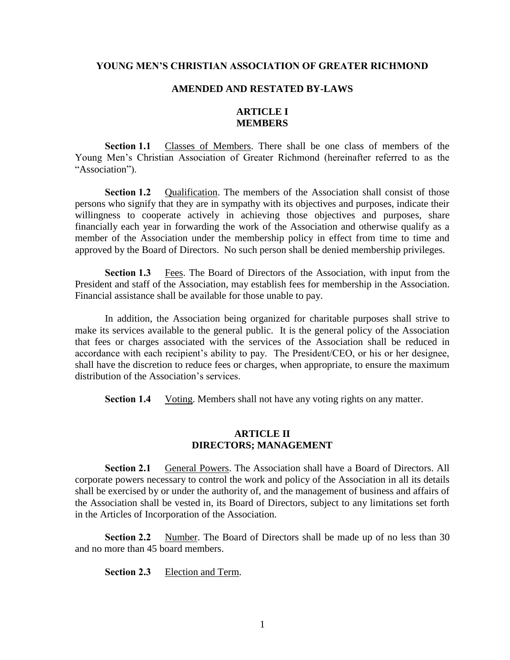#### **YOUNG MEN'S CHRISTIAN ASSOCIATION OF GREATER RICHMOND**

#### **AMENDED AND RESTATED BY-LAWS**

# **ARTICLE I MEMBERS**

**Section 1.1** Classes of Members. There shall be one class of members of the Young Men's Christian Association of Greater Richmond (hereinafter referred to as the "Association").

**Section 1.2** Qualification. The members of the Association shall consist of those persons who signify that they are in sympathy with its objectives and purposes, indicate their willingness to cooperate actively in achieving those objectives and purposes, share financially each year in forwarding the work of the Association and otherwise qualify as a member of the Association under the membership policy in effect from time to time and approved by the Board of Directors. No such person shall be denied membership privileges.

**Section 1.3** Fees. The Board of Directors of the Association, with input from the President and staff of the Association, may establish fees for membership in the Association. Financial assistance shall be available for those unable to pay.

In addition, the Association being organized for charitable purposes shall strive to make its services available to the general public. It is the general policy of the Association that fees or charges associated with the services of the Association shall be reduced in accordance with each recipient's ability to pay. The President/CEO, or his or her designee, shall have the discretion to reduce fees or charges, when appropriate, to ensure the maximum distribution of the Association's services.

**Section 1.4** Voting. Members shall not have any voting rights on any matter.

#### **ARTICLE II DIRECTORS; MANAGEMENT**

**Section 2.1** General Powers. The Association shall have a Board of Directors. All corporate powers necessary to control the work and policy of the Association in all its details shall be exercised by or under the authority of, and the management of business and affairs of the Association shall be vested in, its Board of Directors, subject to any limitations set forth in the Articles of Incorporation of the Association.

**Section 2.2** Number. The Board of Directors shall be made up of no less than 30 and no more than 45 board members.

**Section 2.3** Election and Term.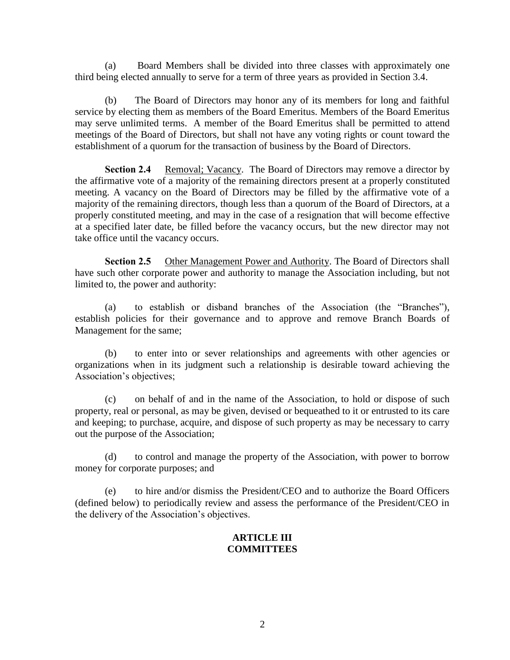(a) Board Members shall be divided into three classes with approximately one third being elected annually to serve for a term of three years as provided in Section 3.4.

(b) The Board of Directors may honor any of its members for long and faithful service by electing them as members of the Board Emeritus. Members of the Board Emeritus may serve unlimited terms. A member of the Board Emeritus shall be permitted to attend meetings of the Board of Directors, but shall not have any voting rights or count toward the establishment of a quorum for the transaction of business by the Board of Directors.

**Section 2.4** Removal; Vacancy. The Board of Directors may remove a director by the affirmative vote of a majority of the remaining directors present at a properly constituted meeting. A vacancy on the Board of Directors may be filled by the affirmative vote of a majority of the remaining directors, though less than a quorum of the Board of Directors, at a properly constituted meeting, and may in the case of a resignation that will become effective at a specified later date, be filled before the vacancy occurs, but the new director may not take office until the vacancy occurs.

**Section 2.5** Other Management Power and Authority. The Board of Directors shall have such other corporate power and authority to manage the Association including, but not limited to, the power and authority:

(a) to establish or disband branches of the Association (the "Branches"), establish policies for their governance and to approve and remove Branch Boards of Management for the same;

(b) to enter into or sever relationships and agreements with other agencies or organizations when in its judgment such a relationship is desirable toward achieving the Association's objectives;

(c) on behalf of and in the name of the Association, to hold or dispose of such property, real or personal, as may be given, devised or bequeathed to it or entrusted to its care and keeping; to purchase, acquire, and dispose of such property as may be necessary to carry out the purpose of the Association;

(d) to control and manage the property of the Association, with power to borrow money for corporate purposes; and

(e) to hire and/or dismiss the President/CEO and to authorize the Board Officers (defined below) to periodically review and assess the performance of the President/CEO in the delivery of the Association's objectives.

## **ARTICLE III COMMITTEES**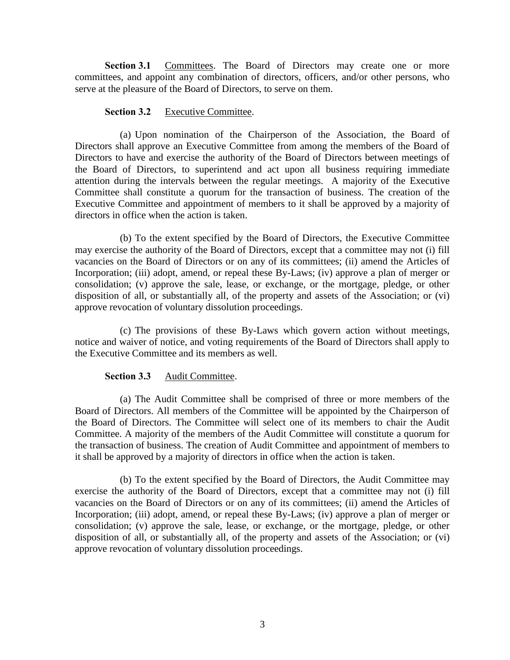**Section 3.1** Committees. The Board of Directors may create one or more committees, and appoint any combination of directors, officers, and/or other persons, who serve at the pleasure of the Board of Directors, to serve on them.

#### **Section 3.2** Executive Committee.

(a) Upon nomination of the Chairperson of the Association, the Board of Directors shall approve an Executive Committee from among the members of the Board of Directors to have and exercise the authority of the Board of Directors between meetings of the Board of Directors, to superintend and act upon all business requiring immediate attention during the intervals between the regular meetings. A majority of the Executive Committee shall constitute a quorum for the transaction of business. The creation of the Executive Committee and appointment of members to it shall be approved by a majority of directors in office when the action is taken.

(b) To the extent specified by the Board of Directors, the Executive Committee may exercise the authority of the Board of Directors, except that a committee may not (i) fill vacancies on the Board of Directors or on any of its committees; (ii) amend the Articles of Incorporation; (iii) adopt, amend, or repeal these By-Laws; (iv) approve a plan of merger or consolidation; (v) approve the sale, lease, or exchange, or the mortgage, pledge, or other disposition of all, or substantially all, of the property and assets of the Association; or (vi) approve revocation of voluntary dissolution proceedings.

(c) The provisions of these By-Laws which govern action without meetings, notice and waiver of notice, and voting requirements of the Board of Directors shall apply to the Executive Committee and its members as well.

## **Section 3.3** Audit Committee.

(a) The Audit Committee shall be comprised of three or more members of the Board of Directors. All members of the Committee will be appointed by the Chairperson of the Board of Directors. The Committee will select one of its members to chair the Audit Committee. A majority of the members of the Audit Committee will constitute a quorum for the transaction of business. The creation of Audit Committee and appointment of members to it shall be approved by a majority of directors in office when the action is taken.

(b) To the extent specified by the Board of Directors, the Audit Committee may exercise the authority of the Board of Directors, except that a committee may not (i) fill vacancies on the Board of Directors or on any of its committees; (ii) amend the Articles of Incorporation; (iii) adopt, amend, or repeal these By-Laws; (iv) approve a plan of merger or consolidation; (v) approve the sale, lease, or exchange, or the mortgage, pledge, or other disposition of all, or substantially all, of the property and assets of the Association; or (vi) approve revocation of voluntary dissolution proceedings.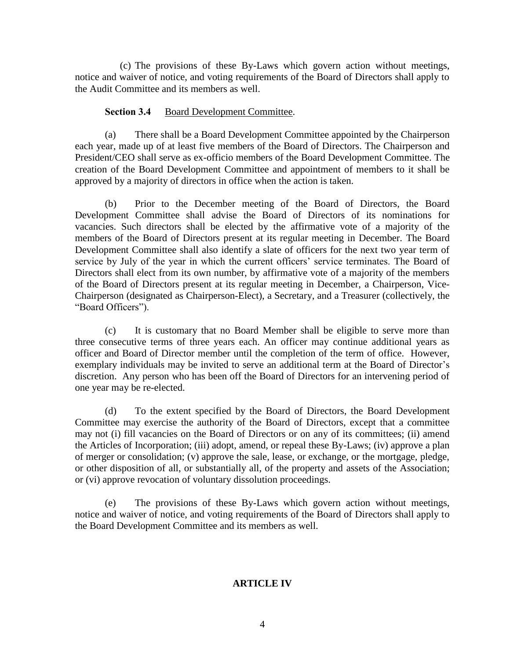(c) The provisions of these By-Laws which govern action without meetings, notice and waiver of notice, and voting requirements of the Board of Directors shall apply to the Audit Committee and its members as well.

#### **Section 3.4** Board Development Committee.

(a) There shall be a Board Development Committee appointed by the Chairperson each year, made up of at least five members of the Board of Directors. The Chairperson and President/CEO shall serve as ex-officio members of the Board Development Committee. The creation of the Board Development Committee and appointment of members to it shall be approved by a majority of directors in office when the action is taken.

(b) Prior to the December meeting of the Board of Directors, the Board Development Committee shall advise the Board of Directors of its nominations for vacancies. Such directors shall be elected by the affirmative vote of a majority of the members of the Board of Directors present at its regular meeting in December. The Board Development Committee shall also identify a slate of officers for the next two year term of service by July of the year in which the current officers' service terminates. The Board of Directors shall elect from its own number, by affirmative vote of a majority of the members of the Board of Directors present at its regular meeting in December, a Chairperson, Vice-Chairperson (designated as Chairperson-Elect), a Secretary, and a Treasurer (collectively, the "Board Officers").

(c) It is customary that no Board Member shall be eligible to serve more than three consecutive terms of three years each. An officer may continue additional years as officer and Board of Director member until the completion of the term of office. However, exemplary individuals may be invited to serve an additional term at the Board of Director's discretion. Any person who has been off the Board of Directors for an intervening period of one year may be re-elected.

(d) To the extent specified by the Board of Directors, the Board Development Committee may exercise the authority of the Board of Directors, except that a committee may not (i) fill vacancies on the Board of Directors or on any of its committees; (ii) amend the Articles of Incorporation; (iii) adopt, amend, or repeal these By-Laws; (iv) approve a plan of merger or consolidation; (v) approve the sale, lease, or exchange, or the mortgage, pledge, or other disposition of all, or substantially all, of the property and assets of the Association; or (vi) approve revocation of voluntary dissolution proceedings.

(e) The provisions of these By-Laws which govern action without meetings, notice and waiver of notice, and voting requirements of the Board of Directors shall apply to the Board Development Committee and its members as well.

## **ARTICLE IV**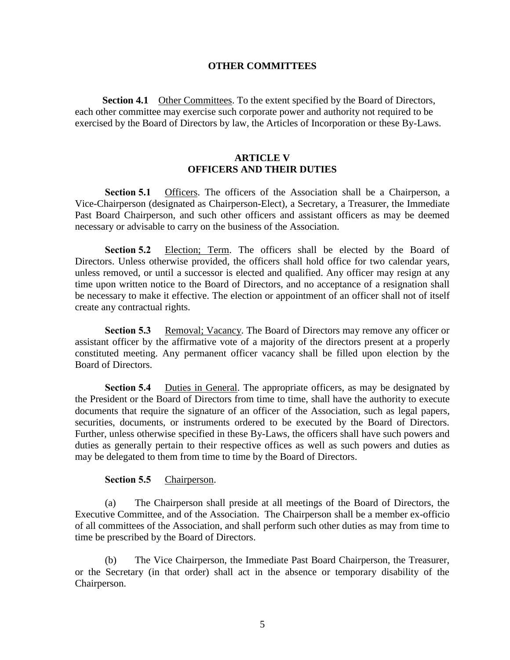#### **OTHER COMMITTEES**

**Section 4.1** Other Committees. To the extent specified by the Board of Directors, each other committee may exercise such corporate power and authority not required to be exercised by the Board of Directors by law, the Articles of Incorporation or these By-Laws.

## **ARTICLE V OFFICERS AND THEIR DUTIES**

**Section 5.1** Officers. The officers of the Association shall be a Chairperson, a Vice-Chairperson (designated as Chairperson-Elect), a Secretary, a Treasurer, the Immediate Past Board Chairperson, and such other officers and assistant officers as may be deemed necessary or advisable to carry on the business of the Association.

**Section 5.2** Election; Term. The officers shall be elected by the Board of Directors. Unless otherwise provided, the officers shall hold office for two calendar years, unless removed, or until a successor is elected and qualified. Any officer may resign at any time upon written notice to the Board of Directors, and no acceptance of a resignation shall be necessary to make it effective. The election or appointment of an officer shall not of itself create any contractual rights.

**Section 5.3** Removal; Vacancy. The Board of Directors may remove any officer or assistant officer by the affirmative vote of a majority of the directors present at a properly constituted meeting. Any permanent officer vacancy shall be filled upon election by the Board of Directors.

**Section 5.4** Duties in General. The appropriate officers, as may be designated by the President or the Board of Directors from time to time, shall have the authority to execute documents that require the signature of an officer of the Association, such as legal papers, securities, documents, or instruments ordered to be executed by the Board of Directors. Further, unless otherwise specified in these By-Laws, the officers shall have such powers and duties as generally pertain to their respective offices as well as such powers and duties as may be delegated to them from time to time by the Board of Directors.

#### **Section 5.5** Chairperson.

(a) The Chairperson shall preside at all meetings of the Board of Directors, the Executive Committee, and of the Association. The Chairperson shall be a member ex-officio of all committees of the Association, and shall perform such other duties as may from time to time be prescribed by the Board of Directors.

(b) The Vice Chairperson, the Immediate Past Board Chairperson, the Treasurer, or the Secretary (in that order) shall act in the absence or temporary disability of the Chairperson.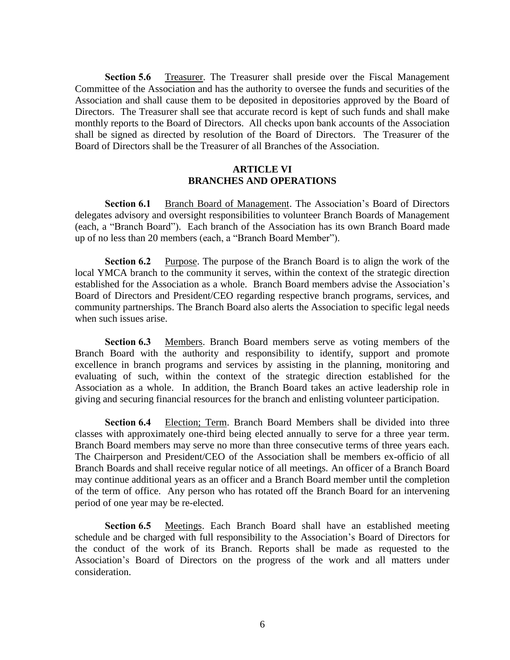**Section 5.6** Treasurer. The Treasurer shall preside over the Fiscal Management Committee of the Association and has the authority to oversee the funds and securities of the Association and shall cause them to be deposited in depositories approved by the Board of Directors. The Treasurer shall see that accurate record is kept of such funds and shall make monthly reports to the Board of Directors. All checks upon bank accounts of the Association shall be signed as directed by resolution of the Board of Directors. The Treasurer of the Board of Directors shall be the Treasurer of all Branches of the Association.

## **ARTICLE VI BRANCHES AND OPERATIONS**

**Section 6.1** Branch Board of Management. The Association's Board of Directors delegates advisory and oversight responsibilities to volunteer Branch Boards of Management (each, a "Branch Board"). Each branch of the Association has its own Branch Board made up of no less than 20 members (each, a "Branch Board Member").

**Section 6.2** Purpose. The purpose of the Branch Board is to align the work of the local YMCA branch to the community it serves, within the context of the strategic direction established for the Association as a whole. Branch Board members advise the Association's Board of Directors and President/CEO regarding respective branch programs, services, and community partnerships. The Branch Board also alerts the Association to specific legal needs when such issues arise.

**Section 6.3** Members. Branch Board members serve as voting members of the Branch Board with the authority and responsibility to identify, support and promote excellence in branch programs and services by assisting in the planning, monitoring and evaluating of such, within the context of the strategic direction established for the Association as a whole. In addition, the Branch Board takes an active leadership role in giving and securing financial resources for the branch and enlisting volunteer participation.

**Section 6.4** Election; Term. Branch Board Members shall be divided into three classes with approximately one-third being elected annually to serve for a three year term. Branch Board members may serve no more than three consecutive terms of three years each. The Chairperson and President/CEO of the Association shall be members ex-officio of all Branch Boards and shall receive regular notice of all meetings. An officer of a Branch Board may continue additional years as an officer and a Branch Board member until the completion of the term of office. Any person who has rotated off the Branch Board for an intervening period of one year may be re-elected.

**Section 6.5** Meetings. Each Branch Board shall have an established meeting schedule and be charged with full responsibility to the Association's Board of Directors for the conduct of the work of its Branch. Reports shall be made as requested to the Association's Board of Directors on the progress of the work and all matters under consideration.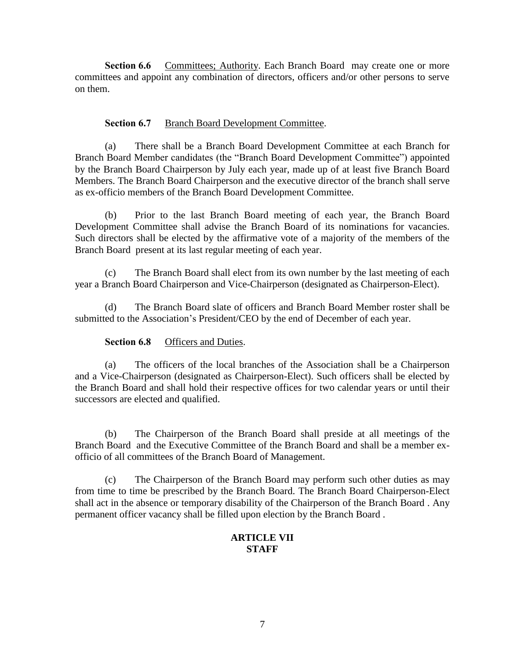**Section 6.6** Committees; Authority. Each Branch Board may create one or more committees and appoint any combination of directors, officers and/or other persons to serve on them.

## **Section 6.7** Branch Board Development Committee.

(a) There shall be a Branch Board Development Committee at each Branch for Branch Board Member candidates (the "Branch Board Development Committee") appointed by the Branch Board Chairperson by July each year, made up of at least five Branch Board Members. The Branch Board Chairperson and the executive director of the branch shall serve as ex-officio members of the Branch Board Development Committee.

(b) Prior to the last Branch Board meeting of each year, the Branch Board Development Committee shall advise the Branch Board of its nominations for vacancies. Such directors shall be elected by the affirmative vote of a majority of the members of the Branch Board present at its last regular meeting of each year.

(c) The Branch Board shall elect from its own number by the last meeting of each year a Branch Board Chairperson and Vice-Chairperson (designated as Chairperson-Elect).

(d) The Branch Board slate of officers and Branch Board Member roster shall be submitted to the Association's President/CEO by the end of December of each year.

## **Section 6.8** Officers and Duties.

(a) The officers of the local branches of the Association shall be a Chairperson and a Vice-Chairperson (designated as Chairperson-Elect). Such officers shall be elected by the Branch Board and shall hold their respective offices for two calendar years or until their successors are elected and qualified.

(b) The Chairperson of the Branch Board shall preside at all meetings of the Branch Board and the Executive Committee of the Branch Board and shall be a member exofficio of all committees of the Branch Board of Management.

(c) The Chairperson of the Branch Board may perform such other duties as may from time to time be prescribed by the Branch Board. The Branch Board Chairperson-Elect shall act in the absence or temporary disability of the Chairperson of the Branch Board . Any permanent officer vacancy shall be filled upon election by the Branch Board .

# **ARTICLE VII STAFF**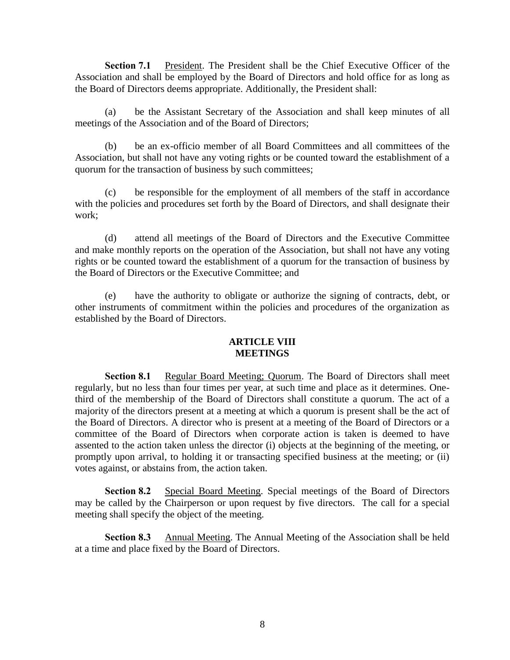**Section 7.1** President. The President shall be the Chief Executive Officer of the Association and shall be employed by the Board of Directors and hold office for as long as the Board of Directors deems appropriate. Additionally, the President shall:

(a) be the Assistant Secretary of the Association and shall keep minutes of all meetings of the Association and of the Board of Directors;

(b) be an ex-officio member of all Board Committees and all committees of the Association, but shall not have any voting rights or be counted toward the establishment of a quorum for the transaction of business by such committees;

(c) be responsible for the employment of all members of the staff in accordance with the policies and procedures set forth by the Board of Directors, and shall designate their work;

(d) attend all meetings of the Board of Directors and the Executive Committee and make monthly reports on the operation of the Association, but shall not have any voting rights or be counted toward the establishment of a quorum for the transaction of business by the Board of Directors or the Executive Committee; and

(e) have the authority to obligate or authorize the signing of contracts, debt, or other instruments of commitment within the policies and procedures of the organization as established by the Board of Directors.

## **ARTICLE VIII MEETINGS**

**Section 8.1** Regular Board Meeting; Quorum. The Board of Directors shall meet regularly, but no less than four times per year, at such time and place as it determines. Onethird of the membership of the Board of Directors shall constitute a quorum. The act of a majority of the directors present at a meeting at which a quorum is present shall be the act of the Board of Directors. A director who is present at a meeting of the Board of Directors or a committee of the Board of Directors when corporate action is taken is deemed to have assented to the action taken unless the director (i) objects at the beginning of the meeting, or promptly upon arrival, to holding it or transacting specified business at the meeting; or (ii) votes against, or abstains from, the action taken.

**Section 8.2** Special Board Meeting. Special meetings of the Board of Directors may be called by the Chairperson or upon request by five directors. The call for a special meeting shall specify the object of the meeting.

**Section 8.3** Annual Meeting. The Annual Meeting of the Association shall be held at a time and place fixed by the Board of Directors.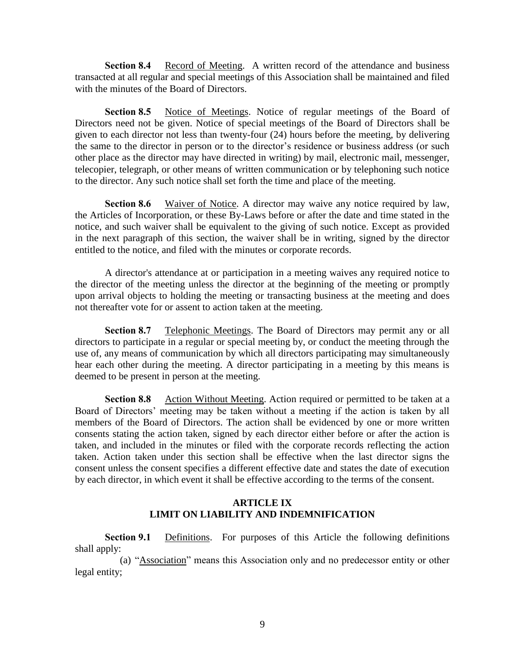**Section 8.4** Record of Meeting. A written record of the attendance and business transacted at all regular and special meetings of this Association shall be maintained and filed with the minutes of the Board of Directors.

Section 8.5 Notice of Meetings. Notice of regular meetings of the Board of Directors need not be given. Notice of special meetings of the Board of Directors shall be given to each director not less than twenty-four (24) hours before the meeting, by delivering the same to the director in person or to the director's residence or business address (or such other place as the director may have directed in writing) by mail, electronic mail, messenger, telecopier, telegraph, or other means of written communication or by telephoning such notice to the director. Any such notice shall set forth the time and place of the meeting.

**Section 8.6** Waiver of Notice. A director may waive any notice required by law, the Articles of Incorporation, or these By-Laws before or after the date and time stated in the notice, and such waiver shall be equivalent to the giving of such notice. Except as provided in the next paragraph of this section, the waiver shall be in writing, signed by the director entitled to the notice, and filed with the minutes or corporate records.

A director's attendance at or participation in a meeting waives any required notice to the director of the meeting unless the director at the beginning of the meeting or promptly upon arrival objects to holding the meeting or transacting business at the meeting and does not thereafter vote for or assent to action taken at the meeting.

**Section 8.7** Telephonic Meetings. The Board of Directors may permit any or all directors to participate in a regular or special meeting by, or conduct the meeting through the use of, any means of communication by which all directors participating may simultaneously hear each other during the meeting. A director participating in a meeting by this means is deemed to be present in person at the meeting.

**Section 8.8** Action Without Meeting. Action required or permitted to be taken at a Board of Directors' meeting may be taken without a meeting if the action is taken by all members of the Board of Directors. The action shall be evidenced by one or more written consents stating the action taken, signed by each director either before or after the action is taken, and included in the minutes or filed with the corporate records reflecting the action taken. Action taken under this section shall be effective when the last director signs the consent unless the consent specifies a different effective date and states the date of execution by each director, in which event it shall be effective according to the terms of the consent.

# **ARTICLE IX LIMIT ON LIABILITY AND INDEMNIFICATION**

**Section 9.1** Definitions. For purposes of this Article the following definitions shall apply:

(a) "Association" means this Association only and no predecessor entity or other legal entity;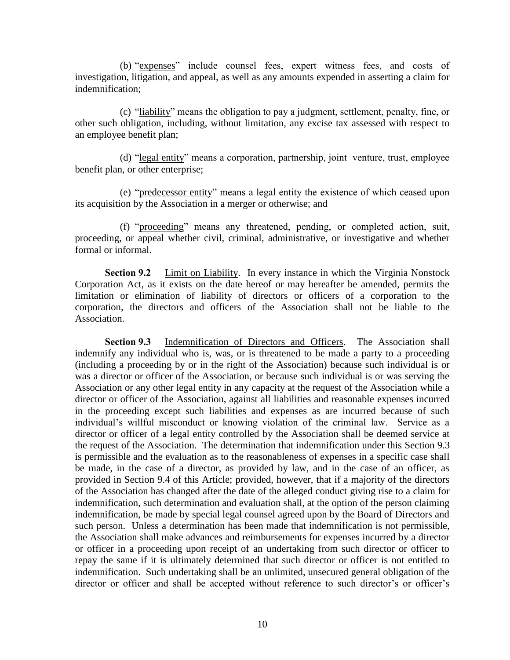(b) "expenses" include counsel fees, expert witness fees, and costs of investigation, litigation, and appeal, as well as any amounts expended in asserting a claim for indemnification;

(c) "liability" means the obligation to pay a judgment, settlement, penalty, fine, or other such obligation, including, without limitation, any excise tax assessed with respect to an employee benefit plan;

(d) "legal entity" means a corporation, partnership, joint venture, trust, employee benefit plan, or other enterprise;

(e) "predecessor entity" means a legal entity the existence of which ceased upon its acquisition by the Association in a merger or otherwise; and

(f) "proceeding" means any threatened, pending, or completed action, suit, proceeding, or appeal whether civil, criminal, administrative, or investigative and whether formal or informal.

**Section 9.2** Limit on Liability. In every instance in which the Virginia Nonstock Corporation Act, as it exists on the date hereof or may hereafter be amended, permits the limitation or elimination of liability of directors or officers of a corporation to the corporation, the directors and officers of the Association shall not be liable to the Association.

**Section 9.3** Indemnification of Directors and Officers. The Association shall indemnify any individual who is, was, or is threatened to be made a party to a proceeding (including a proceeding by or in the right of the Association) because such individual is or was a director or officer of the Association, or because such individual is or was serving the Association or any other legal entity in any capacity at the request of the Association while a director or officer of the Association, against all liabilities and reasonable expenses incurred in the proceeding except such liabilities and expenses as are incurred because of such individual's willful misconduct or knowing violation of the criminal law. Service as a director or officer of a legal entity controlled by the Association shall be deemed service at the request of the Association. The determination that indemnification under this Section 9.3 is permissible and the evaluation as to the reasonableness of expenses in a specific case shall be made, in the case of a director, as provided by law, and in the case of an officer, as provided in Section 9.4 of this Article; provided, however, that if a majority of the directors of the Association has changed after the date of the alleged conduct giving rise to a claim for indemnification, such determination and evaluation shall, at the option of the person claiming indemnification, be made by special legal counsel agreed upon by the Board of Directors and such person. Unless a determination has been made that indemnification is not permissible, the Association shall make advances and reimbursements for expenses incurred by a director or officer in a proceeding upon receipt of an undertaking from such director or officer to repay the same if it is ultimately determined that such director or officer is not entitled to indemnification. Such undertaking shall be an unlimited, unsecured general obligation of the director or officer and shall be accepted without reference to such director's or officer's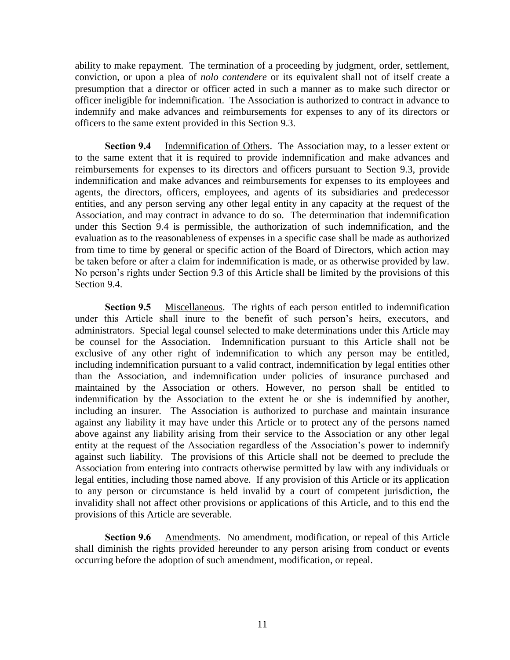ability to make repayment. The termination of a proceeding by judgment, order, settlement, conviction, or upon a plea of *nolo contendere* or its equivalent shall not of itself create a presumption that a director or officer acted in such a manner as to make such director or officer ineligible for indemnification. The Association is authorized to contract in advance to indemnify and make advances and reimbursements for expenses to any of its directors or officers to the same extent provided in this Section 9.3.

**Section 9.4** Indemnification of Others. The Association may, to a lesser extent or to the same extent that it is required to provide indemnification and make advances and reimbursements for expenses to its directors and officers pursuant to Section 9.3, provide indemnification and make advances and reimbursements for expenses to its employees and agents, the directors, officers, employees, and agents of its subsidiaries and predecessor entities, and any person serving any other legal entity in any capacity at the request of the Association, and may contract in advance to do so. The determination that indemnification under this Section 9.4 is permissible, the authorization of such indemnification, and the evaluation as to the reasonableness of expenses in a specific case shall be made as authorized from time to time by general or specific action of the Board of Directors, which action may be taken before or after a claim for indemnification is made, or as otherwise provided by law. No person's rights under Section 9.3 of this Article shall be limited by the provisions of this Section 9.4.

**Section 9.5** Miscellaneous. The rights of each person entitled to indemnification under this Article shall inure to the benefit of such person's heirs, executors, and administrators. Special legal counsel selected to make determinations under this Article may be counsel for the Association. Indemnification pursuant to this Article shall not be exclusive of any other right of indemnification to which any person may be entitled, including indemnification pursuant to a valid contract, indemnification by legal entities other than the Association, and indemnification under policies of insurance purchased and maintained by the Association or others. However, no person shall be entitled to indemnification by the Association to the extent he or she is indemnified by another, including an insurer. The Association is authorized to purchase and maintain insurance against any liability it may have under this Article or to protect any of the persons named above against any liability arising from their service to the Association or any other legal entity at the request of the Association regardless of the Association's power to indemnify against such liability. The provisions of this Article shall not be deemed to preclude the Association from entering into contracts otherwise permitted by law with any individuals or legal entities, including those named above. If any provision of this Article or its application to any person or circumstance is held invalid by a court of competent jurisdiction, the invalidity shall not affect other provisions or applications of this Article, and to this end the provisions of this Article are severable.

**Section 9.6** Amendments. No amendment, modification, or repeal of this Article shall diminish the rights provided hereunder to any person arising from conduct or events occurring before the adoption of such amendment, modification, or repeal.